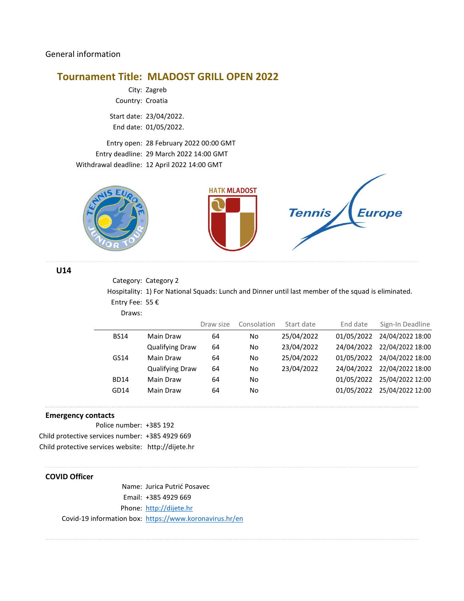# **Tournament Title: MLADOST GRILL OPEN 2022**

City: Zagreb Country: Croatia

Start date: 23/04/2022. End date: 01/05/2022.

Entry open: 28 February 2022 00:00 GMT Entry deadline: 29 March 2022 14:00 GMT Withdrawal deadline: 12 April 2022 14:00 GMT







### **U14**

Category: Category 2 Hospitality: 1) For National Squads: Lunch and Dinner until last member of the squad is eliminated. Entry Fee: 55 € Draws:

|             |                        | Draw size | Consolation | Start date | End date   | Sign-In Deadline |
|-------------|------------------------|-----------|-------------|------------|------------|------------------|
| <b>BS14</b> | Main Draw              | 64        | No          | 25/04/2022 | 01/05/2022 | 24/04/2022 18:00 |
|             | <b>Qualifying Draw</b> | 64        | No          | 23/04/2022 | 24/04/2022 | 22/04/2022 18:00 |
| GS14        | Main Draw              | 64        | No          | 25/04/2022 | 01/05/2022 | 24/04/2022 18:00 |
|             | <b>Qualifying Draw</b> | 64        | No          | 23/04/2022 | 24/04/2022 | 22/04/2022 18:00 |
| <b>BD14</b> | Main Draw              | 64        | No          |            | 01/05/2022 | 25/04/2022 12:00 |
| GD14        | Main Draw              | 64        | No          |            | 01/05/2022 | 25/04/2022 12:00 |
|             |                        |           |             |            |            |                  |

#### **Emergency contacts**

Police number: +385 192

Child protective services number: +385 4929 669 Child protective services website: http://dijete.hr

## **COVID Officer**

Name: Jurica Putrić Posavec Email: +385 4929 669 Phone: [http://dijete.hr](http://dijete.hr/) Covid-19 information box:<https://www.koronavirus.hr/en>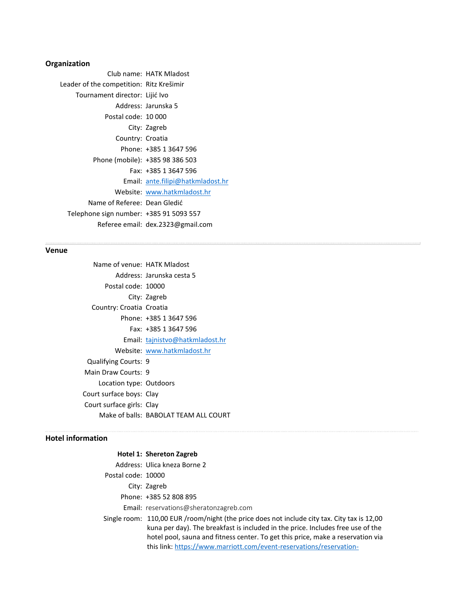#### **Organization**

Club name: HATK Mladost Leader of the competition: Ritz Krešimir Tournament director: Lijić Ivo Address: Jarunska 5 Postal code: 10 000 City: Zagreb Country: Croatia Phone: +385 1 3647 596 Phone (mobile): +385 98 386 503 Fax: +385 1 3647 596 Email: ante.filipi@hatkmladost.hr Website: www.hatkmladost.hr Name of Referee: Dean Gledić Telephone sign number: +385 91 5093 557 Referee email: dex.2323@gmail.com

#### **Venue**

```
Name of venue: HATK Mladost
          Address: Jarunska cesta 5
      Postal code: 10000
              City: Zagreb
  Country: Croatia Croatia
           Phone: +385 1 3647 596
              Fax: +385 1 3647 596
            Email: tajnistvo@hatkmladost.hr
         Website: www.hatkmladost.hr
 Qualifying Courts: 9
Main Draw Courts: 9
    Location type: Outdoors
Court surface boys: Clay
Court surface girls: Clay
     Make of balls: BABOLAT TEAM ALL COURT
```
## **Hotel information**

#### **Hotel 1: Shereton Zagreb**

Address: Ulica kneza Borne 2

- Postal code: 10000
	- City: Zagreb

Phone: +385 52 808 895

- Email: reservations@sheratonzagreb.com
- Single room: 110,00 EUR /room/night (the price does not include city tax. City tax is 12,00 kuna per day). The breakfast is included in the price. Includes free use of the hotel pool, sauna and fitness center. To get this price, make a reservation via this link[: https://www.marriott.com/event-reservations/reservation-](https://www.marriott.com/event-reservations/reservation-link.mi?id=1645613052184&key=GRP&app=resvlink)